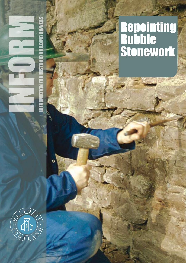

Œ

 $\mathbf{c}$ 

# **Repointing** Rubble Stonework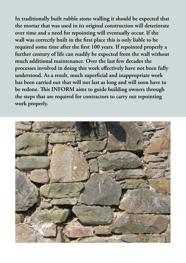**In traditionally built rubble stone walling it should be expected that the mortar that was used in its original construction will deteriorate over time and a need for repointing will eventually occur. If the wall was correctly built in the first place this is only liable to be required some time after the first 100 years. If repointed properly a further century of life can readily be expected from the wall without much additional maintenance. Over the last few decades the processes involved in doing this work effectively have not been fully understood. As a result, much superficial and inappropriate work has been carried out that will not last as long and will soon have to be redone. This INFORM aims to guide building owners through the steps that are required for contractors to carry out repointing work properly.** 

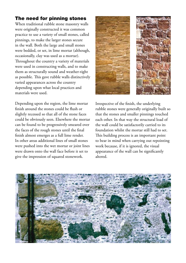# The need for pinning stones

When traditional rubble stone masonry walls were originally constructed it was common practice to use a variety of small stones, called pinnings, to make the larger stones secure in the wall. Both the large and small stones were bedded, or set, in lime mortar (although, occasionally, clay was used as a mortar). Throughout the country a variety of materials were used in constructing walls, and to make them as structurally sound and weather-tight as possible. This gave rubble walls distinctively varied appearances across the country depending upon what local practices and materials were used.

Depending upon the region, the lime mortar finish around the stones could be flush or slightly recessed so that all of the stone faces could be obviously seen. Elsewhere the mortar can be found to be progressively smeared over the faces of the rough stones until the final finish almost emerges as a full lime render. In other areas additional lines of small stones were pushed into the wet mortar or joint lines were drawn onto the wall face before it set to give the impression of squared stonework.



Irrespective of the finish, the underlying rubble stones were generally originally built so that the stones and smaller pinnings touched each other. In that way the structural load of the wall could be satisfactorily carried to its foundation whilst the mortar still had to set. This building process is an important point to bear in mind when carrying out repointing work because, if it is ignored, the visual appearance of the wall can be significantly altered.

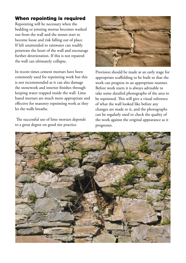# When repointing is required

Repointing will be necessary when the bedding or jointing mortar becomes washed out from the wall and the stones start to become loose and risk falling out of place. If left unattended to rainwater can readily penetrate the heart of the wall and encourage further deterioration. If this is not repaired the wall can ultimately collapse.

In recent times cement mortars have been commonly used for repointing work but this is not recommended as it can also damage the stonework and interior finishes through keeping water trapped inside the wall. Lime based mortars are much more appropriate and effective for masonry repointing work as they let the walls breathe.

 The successful use of lime mortars depends to a great degree on good site practice.



Provision should be made at an early stage for appropriate scaffolding to be built so that the work can progress in an appropriate manner. Before work starts it is always advisable to take some detailed photographs of the area to be repointed. This will give a visual reference of what the wall looked like before any changes are made to it, and the photographs can be regularly used to check the quality of the work against the original appearance as it progresses.

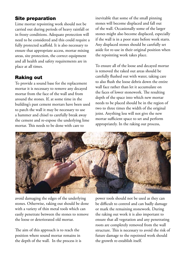# Site preparation

Lime mortar repointing work should not be carried out during periods of heavy rainfall or in frosty conditions. Adequate protection will need to be considered and this could require a fully protected scaffold. It is also necessary to ensure that appropriate access, mortar mixing areas, site protection, the correct equipment and all health and safety requirements are in place at all times.

## Raking out

To provide a sound base for the replacement mortar it is necessary to remove any decayed mortar from the face of the wall and from around the stones. If, at some time in the building's past cement mortars have been used to patch the wall it may be necessary to use a hammer and chisel to carefully break away the cement and re-expose the underlying lime mortar. This needs to be done with care to

inevitable that some of the small pinning stones will become displaced and fall out of the wall. Occasionally some of the larger stones might also become displaced, especially if the wall is in a poor state before work starts. Any displaced stones should be carefully set aside for re-use in their original position when the repointing work takes place.

To ensure all of the loose and decayed mortar is removed the raked out areas should be carefully flushed out with water, taking care to also flush the loose debris down the entire wall face rather than let it accumulate on the faces of lower stonework. The resulting depth of the space into which new mortar needs to be placed should be in the region of two to three times the width of the original joint. Anything less will not give the new mortar sufficient space to set and perform appropriately. In the raking out process,



avoid damaging the edges of the underlying stones. Otherwise, raking out should be done with a variety of thin metal tools which can easily penetrate between the stones to remove the loose or deteriorated old mortar.

The aim of this approach is to reach the position where sound mortar remains in the depth of the wall. In the process it is

power tools should not be used as they can be difficult to control and can badly damage or mark the remaining stonework. During the raking out work it is also important to ensure that all vegetation and any penetrating roots are completely removed from the wall structure. This is necessary to avoid the risk of future damage to the repointed work should the growth re-establish itself.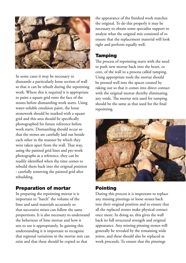

In some cases it may be necessary to dismantle a particularly loose section of wall so that it can be rebuilt during the repointing work. Where this is required it is appropriate to paint a square grid onto the face of the stones before dismantling work starts. Using water-soluble emulsion paint, the loose stonework should be marked with a square grid and this area should be specifically photographed for future reference before work starts. Dismantling should occur so that the stones are carefully laid out beside each other in the manner by which they were taken apart from the wall. That way, using the painted grid lines and pre-work photographs as a reference, they can be readily identified when the time comes to rebuild them back into the original position - carefully removing the painted grid after rebuilding.

### Preparation of mortar

In preparing the repointing mortar it is important to "batch" the volume of the lime and sand materials accurately so that successive mixes can follow the same proportions. It is also necessary to understand the behaviour of lime mortar and how it sets to use it appropriately. In gaining this understanding it is important to recognise that regional variations in the mortar mix can exist and that these should be copied so that

the appearance of the finished work matches the original. To do this properly it may be necessary to obtain some specialist support to analyse what the original mix consisted of to ensure that the replacement material will look right and perform equally well.

#### Tamping

The process of repointing starts with the need to push new mortar back into the heart, or core, of the wall in a process called tamping. Using appropriate tools the mortar should be pressed well into the spaces created by raking out so that it comes into direct contact with the original mortar thereby eliminating any voids. The mortar mix used for tamping should be the same as that used for the final repointing.



## Pointing

During this process it is important to replace any missing pinnings or loose stones back into their original position and to ensure that all the replaced stones make physical contact once more. In doing so, this gives the wall back its full structural strength and original appearance. Any missing pinning stones will generally be revealed by the remaining wide joints, and these should also be replaced as work proceeds. To ensure that the pinnings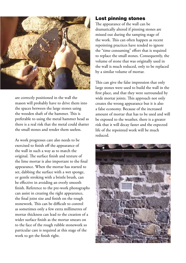

are correctly positioned in the wall the mason will probably have to drive them into the spaces between the large stones using the wooden shaft of the hammer. This is preferable to using the metal hammer head as there is a real risk that the metal could shatter the small stones and render them useless.

As work progresses care also needs to be exercised to finish off the appearance of the wall in such a way as to match the original. The surface finish and texture of the lime mortar is also important to the final appearance. When the mortar has started to set, dabbing the surface with a wet sponge, or gentle stroking with a bristle brush, can be effective in avoiding an overly smooth finish. Reference to the pre-work photographs can assist in creating the right appearance, the final joint size and finish on the rough stonework. This can be difficult to control as sometimes only a few extra millimetres of mortar thickness can lead to the creation of a wider surface finish as the mortar smears on to the face of the rough rubble stonework so particular care is required at this stage of the work to get the finish right.

## Lost pinning stones

The appearance of the wall can be dramatically altered if pinning stones are missed out during the tamping stage of the work. This can often happen as recent repointing practices have tended to ignore the "time consuming" effort that is required to replace the small stones. Consequently, the volume of stone that was originally used in the wall is much reduced, only to be replaced by a similar volume of mortar.

This can give the false impression that only large stones were used to build the wall in the first place, and that they were surrounded by wide mortar joints. This approach not only creates the wrong appearance but it is also a false economy. Because of the increased amount of mortar that has to be used and will be exposed to the weather, there is a greater risk that it will decay faster and the expected life of the repointed work will be much reduced.